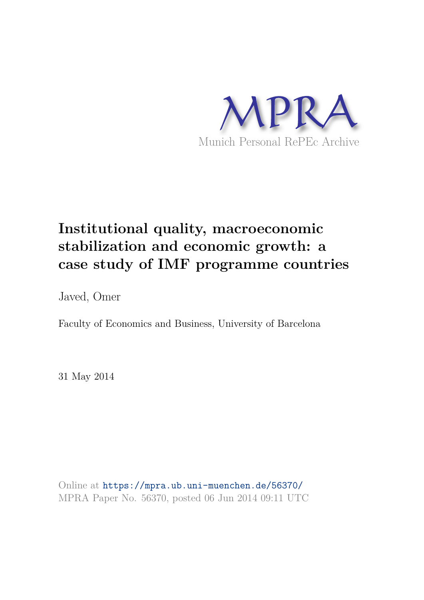

# **Institutional quality, macroeconomic stabilization and economic growth: a case study of IMF programme countries**

Javed, Omer

Faculty of Economics and Business, University of Barcelona

31 May 2014

Online at https://mpra.ub.uni-muenchen.de/56370/ MPRA Paper No. 56370, posted 06 Jun 2014 09:11 UTC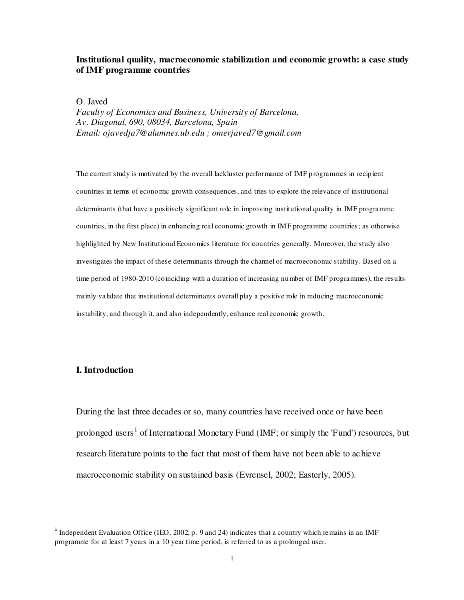## **Institutional quality, macroeconomic stabilization and economic growth: a case study of IMF programme countries**

O. Javed

*Faculty of Economics and Business, University of Barcelona, Av. Diagonal, 690, 08034, Barcelona, Spain Email: ojavedja7@alumnes.ub.edu ; omerjaved7@gmail.com*

The current study is motivated by the overall lackluster performance of IMF programmes in recipient countries in terms of economic growth consequences, and tries to explore the relevance of institutional determinants (that have a positively significant role in improving institutional quality in IMF programme countries, in the first place) in enhancing real economic growth in IMF programme countries; as otherwise highlighted by New Institutional Economics literature for countries generally. Moreover, the study also investigates the impact of these determinants through the channel of macroeconomic stability. Based on a time period of 1980-2010 (coinciding with a duration of increasing number of IMF programmes), the results mainly validate that institutional determinants overall play a positive role in reducing macroeconomic instability, and through it, and also independently, enhance real economic growth.

## **I. Introduction**

l

During the last three decades or so, many countries have received once or have been prolonged users<sup>1</sup> of International Monetary Fund (IMF; or simply the 'Fund') resources, but research literature points to the fact that most of them have not been able to achieve macroeconomic stability on sustained basis (Evrensel, 2002; Easterly, 2005).

<sup>&</sup>lt;sup>1</sup> Independent Evaluation Office (IEO, 2002, p. 9 and 24) indicates that a country which remains in an IMF programme for at least 7 years in a 10 year time period, is referred to as a prolonged user.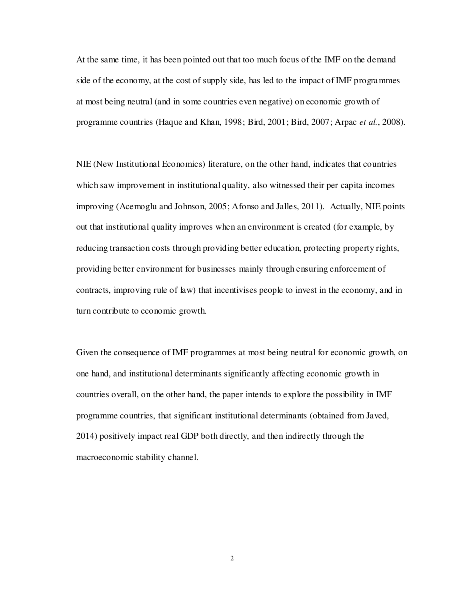At the same time, it has been pointed out that too much focus of the IMF on the demand side of the economy, at the cost of supply side, has led to the impact of IMF programmes at most being neutral (and in some countries even negative) on economic growth of programme countries (Haque and Khan, 1998; Bird, 2001; Bird, 2007; Arpac *et al.*, 2008).

NIE (New Institutional Economics) literature, on the other hand, indicates that countries which saw improvement in institutional quality, also witnessed their per capita incomes improving (Acemoglu and Johnson, 2005; Afonso and Jalles, 2011). Actually, NIE points out that institutional quality improves when an environment is created (for example, by reducing transaction costs through providing better education, protecting property rights, providing better environment for businesses mainly through ensuring enforcement of contracts, improving rule of law) that incentivises people to invest in the economy, and in turn contribute to economic growth.

Given the consequence of IMF programmes at most being neutral for economic growth, on one hand, and institutional determinants significantly affecting economic growth in countries overall, on the other hand, the paper intends to explore the possibility in IMF programme countries, that significant institutional determinants (obtained from Javed, 2014) positively impact real GDP both directly, and then indirectly through the macroeconomic stability channel.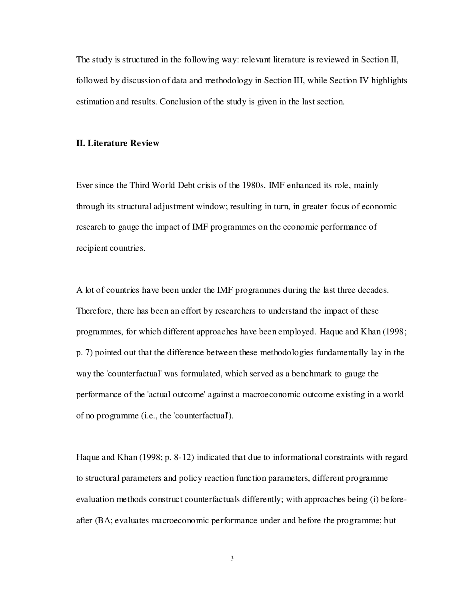The study is structured in the following way: relevant literature is reviewed in Section II, followed by discussion of data and methodology in Section III, while Section IV highlights estimation and results. Conclusion of the study is given in the last section.

## **II. Literature Review**

Ever since the Third World Debt crisis of the 1980s, IMF enhanced its role, mainly through its structural adjustment window; resulting in turn, in greater focus of economic research to gauge the impact of IMF programmes on the economic performance of recipient countries.

A lot of countries have been under the IMF programmes during the last three decades. Therefore, there has been an effort by researchers to understand the impact of these programmes, for which different approaches have been employed. Haque and Khan (1998; p. 7) pointed out that the difference between these methodologies fundamentally lay in the way the 'counterfactual' was formulated, which served as a benchmark to gauge the performance of the 'actual outcome' against a macroeconomic outcome existing in a world of no programme (i.e., the 'counterfactual').

Haque and Khan (1998; p. 8-12) indicated that due to informational constraints with regard to structural parameters and policy reaction function parameters, different programme evaluation methods construct counterfactuals differently; with approaches being (i) beforeafter (BA; evaluates macroeconomic performance under and before the programme; but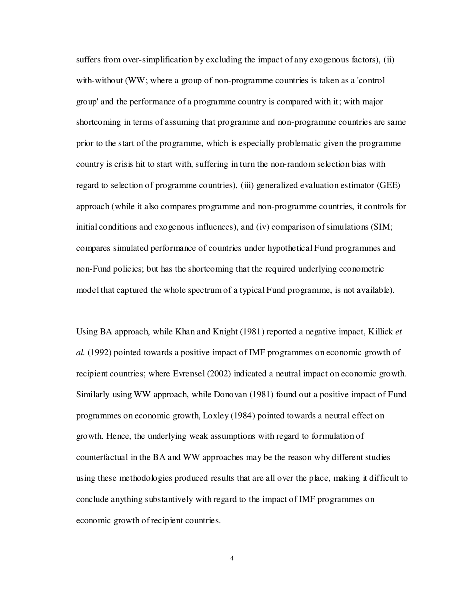suffers from over-simplification by excluding the impact of any exogenous factors), (ii) with-without (WW; where a group of non-programme countries is taken as a 'control group' and the performance of a programme country is compared with it; with major shortcoming in terms of assuming that programme and non-programme countries are same prior to the start of the programme, which is especially problematic given the programme country is crisis hit to start with, suffering in turn the non-random selection bias with regard to selection of programme countries), (iii) generalized evaluation estimator (GEE) approach (while it also compares programme and non-programme countries, it controls for initial conditions and exogenous influences), and (iv) comparison of simulations (SIM; compares simulated performance of countries under hypothetical Fund programmes and non-Fund policies; but has the shortcoming that the required underlying econometric model that captured the whole spectrum of a typical Fund programme, is not available).

Using BA approach, while Khan and Knight (1981) reported a negative impact, Killick *et al.* (1992) pointed towards a positive impact of IMF programmes on economic growth of recipient countries; where Evrensel (2002) indicated a neutral impact on economic growth. Similarly using WW approach, while Donovan (1981) found out a positive impact of Fund programmes on economic growth, Loxley (1984) pointed towards a neutral effect on growth. Hence, the underlying weak assumptions with regard to formulation of counterfactual in the BA and WW approaches may be the reason why different studies using these methodologies produced results that are all over the place, making it difficult to conclude anything substantively with regard to the impact of IMF programmes on economic growth of recipient countries.

4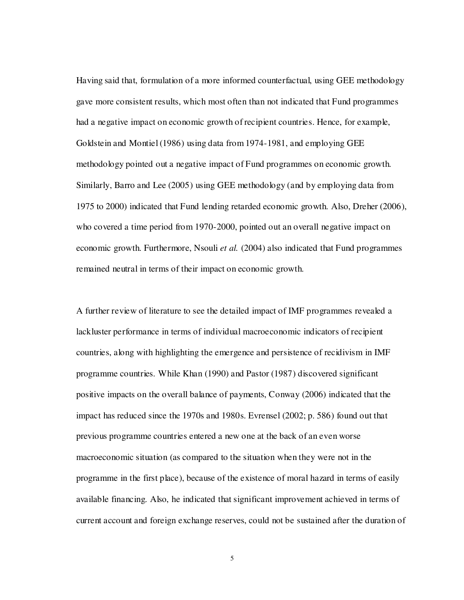Having said that, formulation of a more informed counterfactual, using GEE methodology gave more consistent results, which most often than not indicated that Fund programmes had a negative impact on economic growth of recipient countries. Hence, for example, Goldstein and Montiel (1986) using data from 1974-1981, and employing GEE methodology pointed out a negative impact of Fund programmes on economic growth. Similarly, Barro and Lee (2005) using GEE methodology (and by employing data from 1975 to 2000) indicated that Fund lending retarded economic growth. Also, Dreher (2006), who covered a time period from 1970-2000, pointed out an overall negative impact on economic growth. Furthermore, Nsouli *et al.* (2004) also indicated that Fund programmes remained neutral in terms of their impact on economic growth.

A further review of literature to see the detailed impact of IMF programmes revealed a lackluster performance in terms of individual macroeconomic indicators of recipient countries, along with highlighting the emergence and persistence of recidivism in IMF programme countries. While Khan (1990) and Pastor (1987) discovered significant positive impacts on the overall balance of payments, Conway (2006) indicated that the impact has reduced since the 1970s and 1980s. Evrensel (2002; p. 586) found out that previous programme countries entered a new one at the back of an even worse macroeconomic situation (as compared to the situation when they were not in the programme in the first place), because of the existence of moral hazard in terms of easily available financing. Also, he indicated that significant improvement achieved in terms of current account and foreign exchange reserves, could not be sustained after the duration of

5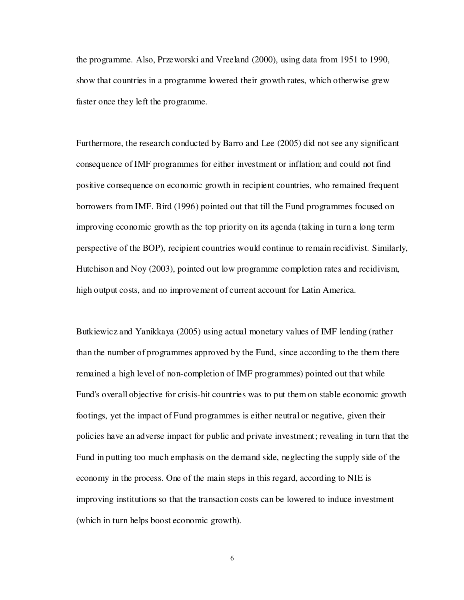the programme. Also, Przeworski and Vreeland (2000), using data from 1951 to 1990, show that countries in a programme lowered their growth rates, which otherwise grew faster once they left the programme.

Furthermore, the research conducted by Barro and Lee (2005) did not see any significant consequence of IMF programmes for either investment or inflation; and could not find positive consequence on economic growth in recipient countries, who remained frequent borrowers from IMF. Bird (1996) pointed out that till the Fund programmes focused on improving economic growth as the top priority on its agenda (taking in turn a long term perspective of the BOP), recipient countries would continue to remain recidivist. Similarly, Hutchison and Noy (2003), pointed out low programme completion rates and recidivism, high output costs, and no improvement of current account for Latin America.

Butkiewicz and Yanikkaya (2005) using actual monetary values of IMF lending (rather than the number of programmes approved by the Fund, since according to the them there remained a high level of non-completion of IMF programmes) pointed out that while Fund's overall objective for crisis-hit countries was to put them on stable economic growth footings, yet the impact of Fund programmes is either neutral or negative, given their policies have an adverse impact for public and private investment; revealing in turn that the Fund in putting too much emphasis on the demand side, neglecting the supply side of the economy in the process. One of the main steps in this regard, according to NIE is improving institutions so that the transaction costs can be lowered to induce investment (which in turn helps boost economic growth).

6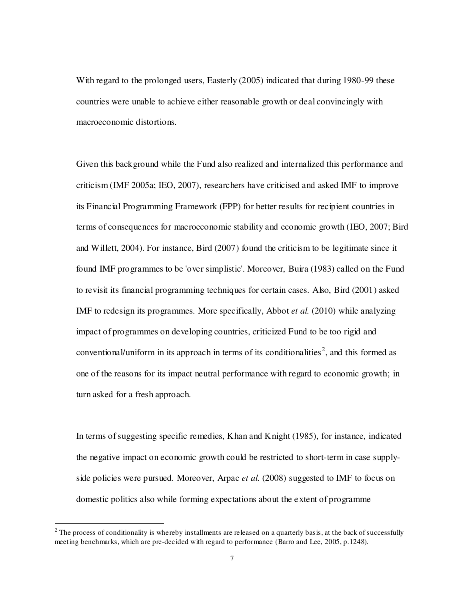With regard to the prolonged users, Easterly (2005) indicated that during 1980-99 these countries were unable to achieve either reasonable growth or deal convincingly with macroeconomic distortions.

Given this background while the Fund also realized and internalized this performance and criticism (IMF 2005a; IEO, 2007), researchers have criticised and asked IMF to improve its Financial Programming Framework (FPP) for better results for recipient countries in terms of consequences for macroeconomic stability and economic growth (IEO, 2007; Bird and Willett, 2004). For instance, Bird (2007) found the criticism to be legitimate since it found IMF programmes to be 'over simplistic'. Moreover, Buira (1983) called on the Fund to revisit its financial programming techniques for certain cases. Also, Bird (2001) asked IMF to redesign its programmes. More specifically, Abbot *et al.* (2010) while analyzing impact of programmes on developing countries, criticized Fund to be too rigid and conventional/uniform in its approach in terms of its conditionalities<sup>2</sup>, and this formed as one of the reasons for its impact neutral performance with regard to economic growth; in turn asked for a fresh approach.

In terms of suggesting specific remedies, Khan and Knight (1985), for instance, indicated the negative impact on economic growth could be restricted to short-term in case supplyside policies were pursued. Moreover, Arpac *et al.* (2008) suggested to IMF to focus on domestic politics also while forming expectations about the extent of programme

l

 $2<sup>2</sup>$  The process of conditionality is whereby installments are released on a quarterly basis, at the back of successfully meeting benchmarks, which are pre-decided with regard to performance (Barro and Lee, 2005, p.1248).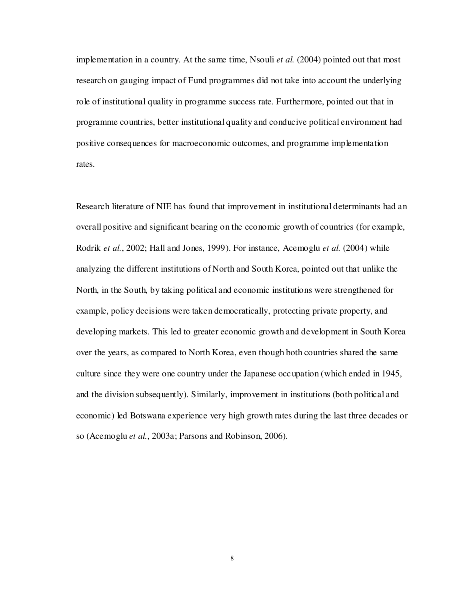implementation in a country. At the same time, Nsouli *et al.* (2004) pointed out that most research on gauging impact of Fund programmes did not take into account the underlying role of institutional quality in programme success rate. Furthermore, pointed out that in programme countries, better institutional quality and conducive political environment had positive consequences for macroeconomic outcomes, and programme implementation rates.

Research literature of NIE has found that improvement in institutional determinants had an overall positive and significant bearing on the economic growth of countries (for example, Rodrik *et al.*, 2002; Hall and Jones, 1999). For instance, Acemoglu *et al.* (2004) while analyzing the different institutions of North and South Korea, pointed out that unlike the North, in the South, by taking political and economic institutions were strengthened for example, policy decisions were taken democratically, protecting private property, and developing markets. This led to greater economic growth and development in South Korea over the years, as compared to North Korea, even though both countries shared the same culture since they were one country under the Japanese occupation (which ended in 1945, and the division subsequently). Similarly, improvement in institutions (both political and economic) led Botswana experience very high growth rates during the last three decades or so (Acemoglu *et al.*, 2003a; Parsons and Robinson, 2006).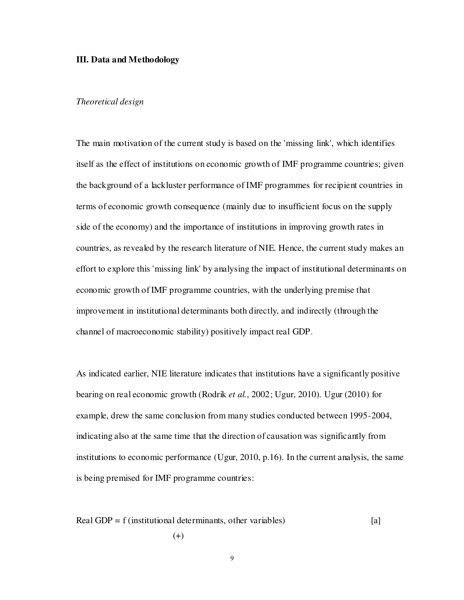## **III. Data and Methodology**

## *Theoretical design*

The main motivation of the current study is based on the 'missing link', which identifies itself as the effect of institutions on economic growth of IMF programme countries; given the background of a lackluster performance of IMF programmes for recipient countries in terms of economic growth consequence (mainly due to insufficient focus on the supply side of the economy) and the importance of institutions in improving growth rates in countries, as revealed by the research literature of NIE. Hence, the current study makes an effort to explore this 'missing link' by analysing the impact of institutional determinants on economic growth of IMF programme countries, with the underlying premise that improvement in institutional determinants both directly, and indirectly (through the channel of macroeconomic stability) positively impact real GDP.

As indicated earlier, NIE literature indicates that institutions have a significantly positive bearing on real economic growth (Rodrik *et al.*, 2002; Ugur, 2010). Ugur (2010) for example, drew the same conclusion from many studies conducted between 1995-2004, indicating also at the same time that the direction of causation was significantly from institutions to economic performance (Ugur, 2010, p.16). In the current analysis, the same is being premised for IMF programme countries:

Real GDP = f (institutional determinants, other variables) 
$$
(4)
$$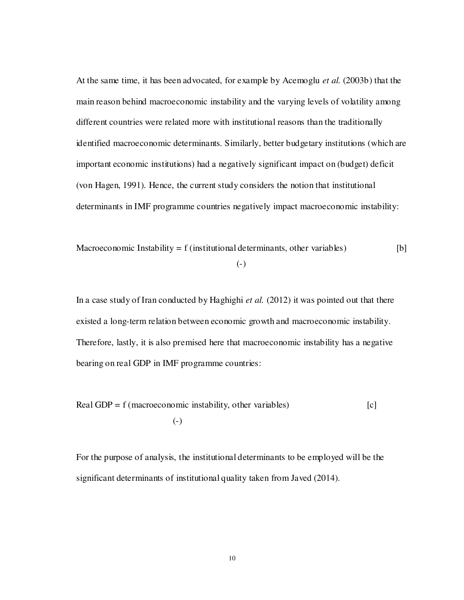At the same time, it has been advocated, for example by Acemoglu *et al.* (2003b) that the main reason behind macroeconomic instability and the varying levels of volatility among different countries were related more with institutional reasons than the traditionally identified macroeconomic determinants. Similarly, better budgetary institutions (which are important economic institutions) had a negatively significant impact on (budget) deficit (von Hagen, 1991). Hence, the current study considers the notion that institutional determinants in IMF programme countries negatively impact macroeconomic instability:

Macroeconomic Instability = f (institutional determinants, other variables) [b]

(-)

In a case study of Iran conducted by Haghighi *et al.* (2012) it was pointed out that there existed a long-term relation between economic growth and macroeconomic instability. Therefore, lastly, it is also premised here that macroeconomic instability has a negative bearing on real GDP in IMF programme countries:

Real GDP =  $f$  (macroeconomic instability, other variables)  $[c]$ (-)

For the purpose of analysis, the institutional determinants to be employed will be the significant determinants of institutional quality taken from Javed (2014).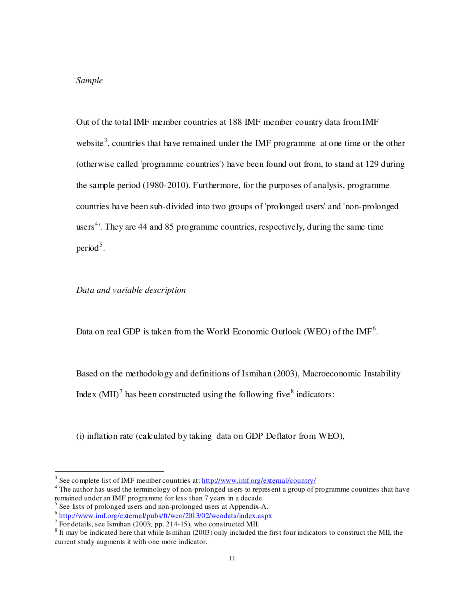## *Sample*

l

Out of the total IMF member countries at 188 IMF member country data from IMF website<sup>3</sup>, countries that have remained under the IMF programme at one time or the other (otherwise called 'programme countries') have been found out from, to stand at 129 during the sample period (1980-2010). Furthermore, for the purposes of analysis, programme countries have been sub-divided into two groups of 'prolonged users' and 'non-prolonged users<sup>4</sup>. They are 44 and 85 programme countries, respectively, during the same time period<sup>5</sup>.

*Data and variable description* 

Data on real GDP is taken from the World Economic Outlook (WEO) of the IMF<sup>6</sup>.

Based on the methodology and definitions of Ismihan (2003), Macroeconomic Instability Index  $(MII)^7$  has been constructed using the following five<sup>8</sup> indicators:

(i) inflation rate (calculated by taking data on GDP Deflator from WEO),

<sup>&</sup>lt;sup>3</sup> See complete list of IMF member countries at:  $\frac{http://www.inf.org/externa/Country/h}{}$ 

<sup>&</sup>lt;sup>4</sup> The author has used the terminology of non-prolonged users to represent a group of programme countries that have remained under an IMF programme for less than 7 years in a decade.

 $<sup>5</sup>$  See lists of prolonged users and non-prolonged users at Appendix-A.</sup>

<sup>&</sup>lt;sup>6</sup> <u>http://www.imf.org/external/pubs/ft/weo/2013/02/weodata/index.aspx</u>

 $<sup>7</sup>$  For details, see Ismihan (2003; pp. 214-15), who constructed MII.</sup>

 $8$  It may be indicated here that while Is mihan (2003) only included the first four indicators to construct the MII, the current study augments it with one more indicator.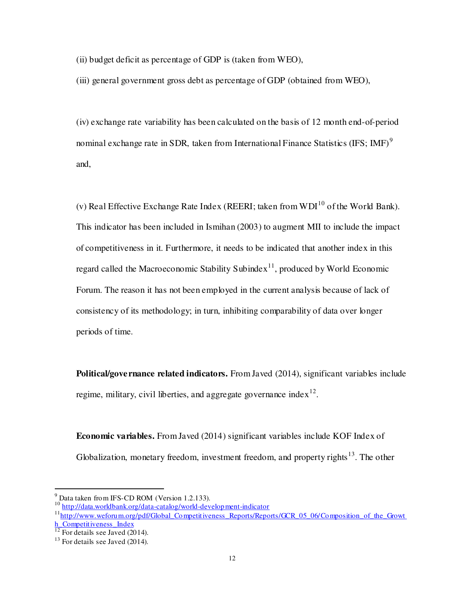(ii) budget deficit as percentage of GDP is (taken from WEO),

(iii) general government gross debt as percentage of GDP (obtained from WEO),

(iv) exchange rate variability has been calculated on the basis of 12 month end-of-period nominal exchange rate in SDR, taken from International Finance Statistics (IFS; IMF)<sup>9</sup> and,

(v) Real Effective Exchange Rate Index (REERI: taken from WDI $^{10}$  of the World Bank). This indicator has been included in Ismihan (2003) to augment MII to include the impact of competitiveness in it. Furthermore, it needs to be indicated that another index in this regard called the Macroeconomic Stability Subindex<sup>11</sup>, produced by World Economic Forum. The reason it has not been employed in the current analysis because of lack of consistency of its methodology; in turn, inhibiting comparability of data over longer periods of time.

**Political/governance related indicators.** From Javed (2014), significant variables include regime, military, civil liberties, and aggregate governance index $12$ .

**Economic variables.** From Javed (2014) significant variables include KOF Index of Globalization, monetary freedom, investment freedom, and property rights $^{13}$ . The other

l

 $9^9$  Data taken from IFS-CD ROM (Version 1.2.133).

<sup>10</sup> http://data.worldbank.org/data-catalog/world-development-indicator

 $11$ http://www.weforum.org/pdf/Global\_Competitiveness\_Reports/Reports/GCR\_05\_06/Composition\_of\_the\_Growt h Competitiveness Index

 $12$  For details see Javed (2014).

 $13$  For details see Javed (2014).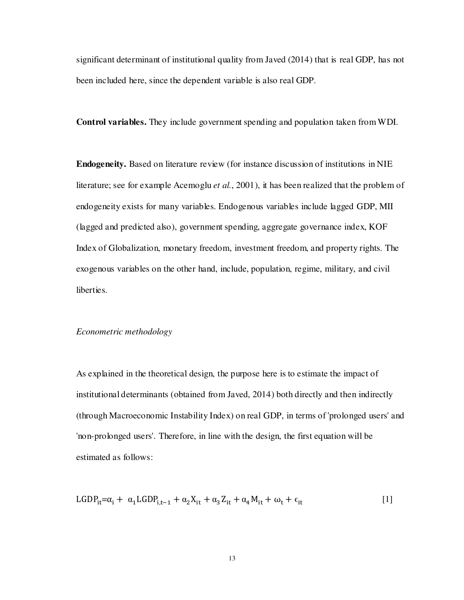significant determinant of institutional quality from Javed (2014) that is real GDP, has not been included here, since the dependent variable is also real GDP.

**Control variables.** They include government spending and population taken from WDI.

**Endogeneity.** Based on literature review (for instance discussion of institutions in NIE literature; see for example Acemoglu *et al.*, 2001), it has been realized that the problem of endogeneity exists for many variables. Endogenous variables include lagged GDP, MII (lagged and predicted also), government spending, aggregate governance index, KOF Index of Globalization, monetary freedom, investment freedom, and property rights. The exogenous variables on the other hand, include, population, regime, military, and civil liberties.

## *Econometric methodology*

As explained in the theoretical design, the purpose here is to estimate the impact of institutional determinants (obtained from Javed, 2014) both directly and then indirectly (through Macroeconomic Instability Index) on real GDP, in terms of 'prolonged users' and 'non-prolonged users'. Therefore, in line with the design, the first equation will be estimated as follows:

$$
LGDP_{it} = \alpha_i + \alpha_1 LGDP_{i,t-1} + \alpha_2 X_{it} + \alpha_3 Z_{it} + \alpha_4 M_{it} + \omega_t + \epsilon_{it}
$$
\n[1]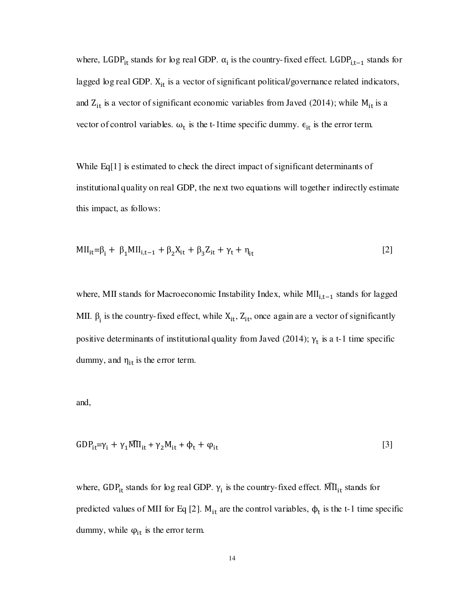where, LGDP<sub>it</sub> stands for log real GDP.  $\alpha_i$  is the country-fixed effect. LGDP<sub>i,t-1</sub> stands for lagged log real GDP.  $X_{it}$  is a vector of significant political/governance related indicators, and  $Z_{it}$  is a vector of significant economic variables from Javed (2014); while  $M_{it}$  is a vector of control variables.  $\omega_t$  is the t-1time specific dummy.  $\epsilon_{it}$  is the error term.

While Eq[1] is estimated to check the direct impact of significant determinants of institutional quality on real GDP, the next two equations will together indirectly estimate this impact, as follows:

$$
MII_{it} = \beta_i + \beta_1 MII_{i,t-1} + \beta_2 X_{it} + \beta_3 Z_{it} + \gamma_t + \eta_{it}
$$
 [2]

where, MII stands for Macroeconomic Instability Index, while  $MI_{i,t-1}$  stands for lagged MII.  $\beta_i$  is the country-fixed effect, while  $X_{it}$ ,  $Z_{it}$ , once again are a vector of significantly positive determinants of institutional quality from Javed (2014);  $\gamma_t$  is a t-1 time specific dummy, and  $\eta_{it}$  is the error term.

and,

$$
GDP_{it} = \gamma_i + \gamma_1 \widehat{MI}_{it} + \gamma_2 M_{it} + \Phi_t + \varphi_{it}
$$

where, GDP<sub>it</sub> stands for log real GDP.  $\gamma_i$  is the country-fixed effect. MII<sub>it</sub> stands for predicted values of MII for Eq [2].  $M_{it}$  are the control variables,  $\phi_t$  is the t-1 time specific dummy, while  $\varphi_{it}$  is the error term.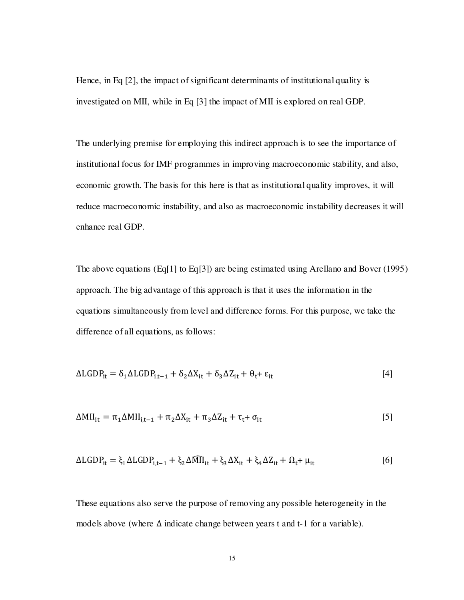Hence, in Eq [2], the impact of significant determinants of institutional quality is investigated on MII, while in Eq [3] the impact of MII is explored on real GDP.

The underlying premise for employing this indirect approach is to see the importance of institutional focus for IMF programmes in improving macroeconomic stability, and also, economic growth. The basis for this here is that as institutional quality improves, it will reduce macroeconomic instability, and also as macroeconomic instability decreases it will enhance real GDP.

The above equations (Eq[1] to Eq[3]) are being estimated using Arellano and Bover (1995) approach. The big advantage of this approach is that it uses the information in the equations simultaneously from level and difference forms. For this purpose, we take the difference of all equations, as follows:

$$
\Delta LGDP_{it} = \delta_1 \Delta LGDP_{i,t-1} + \delta_2 \Delta X_{it} + \delta_3 \Delta Z_{it} + \theta_t + \varepsilon_{it}
$$
\n
$$
[4]
$$

$$
\Delta MII_{it} = \pi_1 \Delta MII_{i,t-1} + \pi_2 \Delta X_{it} + \pi_3 \Delta Z_{it} + \tau_t + \sigma_{it}
$$
\n[5]

$$
\Delta LGDP_{it} = \xi_1 \Delta LGDP_{i,t-1} + \xi_2 \Delta M\Pi_{it} + \xi_3 \Delta X_{it} + \xi_4 \Delta Z_{it} + \Omega_t + \mu_{it}
$$

These equations also serve the purpose of removing any possible heterogeneity in the models above (where  $\Delta$  indicate change between years t and t-1 for a variable).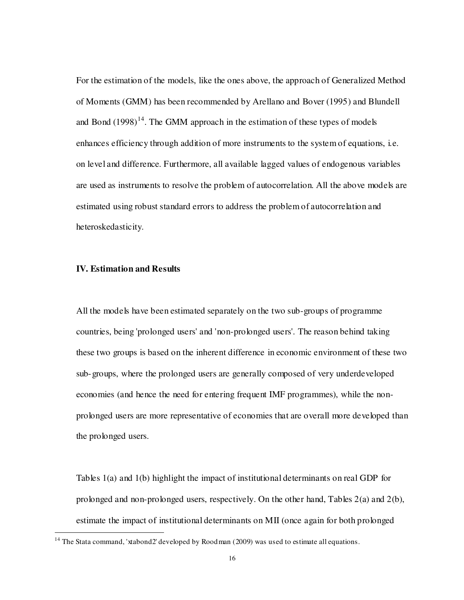For the estimation of the models, like the ones above, the approach of Generalized Method of Moments (GMM) has been recommended by Arellano and Bover (1995) and Blundell and Bond  $(1998)^{14}$ . The GMM approach in the estimation of these types of models enhances efficiency through addition of more instruments to the system of equations, i.e. on level and difference. Furthermore, all available lagged values of endogenous variables are used as instruments to resolve the problem of autocorrelation. All the above models are estimated using robust standard errors to address the problem of autocorrelation and heteroskedasticity.

## **IV. Estimation and Results**

l

All the models have been estimated separately on the two sub-groups of programme countries, being 'prolonged users' and 'non-prolonged users'. The reason behind taking these two groups is based on the inherent difference in economic environment of these two sub-groups, where the prolonged users are generally composed of very underdeveloped economies (and hence the need for entering frequent IMF programmes), while the nonprolonged users are more representative of economies that are overall more developed than the prolonged users.

Tables 1(a) and 1(b) highlight the impact of institutional determinants on real GDP for prolonged and non-prolonged users, respectively. On the other hand, Tables 2(a) and 2(b), estimate the impact of institutional determinants on MII (once again for both prolonged

<sup>&</sup>lt;sup>14</sup> The Stata command, 'xtabond2' developed by Roodman (2009) was used to estimate all equations.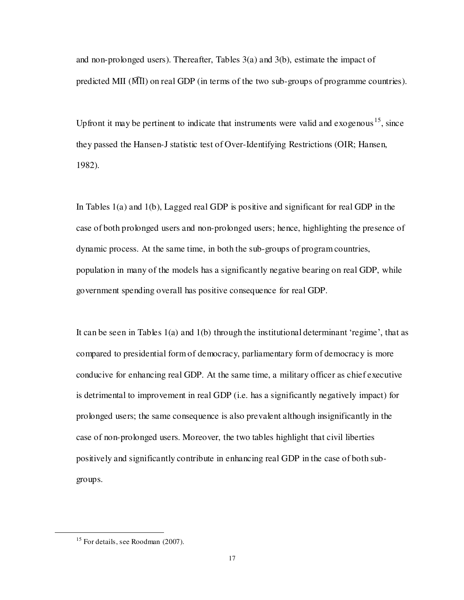and non-prolonged users). Thereafter, Tables 3(a) and 3(b), estimate the impact of predicted MII  $(\overline{M}I)$  on real GDP (in terms of the two sub-groups of programme countries).

Upfront it may be pertinent to indicate that instruments were valid and exogenous<sup>15</sup>, since they passed the Hansen-J statistic test of Over-Identifying Restrictions (OIR; Hansen, 1982).

In Tables 1(a) and 1(b), Lagged real GDP is positive and significant for real GDP in the case of both prolonged users and non-prolonged users; hence, highlighting the presence of dynamic process. At the same time, in both the sub-groups of program countries, population in many of the models has a significantly negative bearing on real GDP, while government spending overall has positive consequence for real GDP.

It can be seen in Tables 1(a) and 1(b) through the institutional determinant 'regime', that as compared to presidential form of democracy, parliamentary form of democracy is more conducive for enhancing real GDP. At the same time, a military officer as chief executive is detrimental to improvement in real GDP (i.e. has a significantly negatively impact) for prolonged users; the same consequence is also prevalent although insignificantly in the case of non-prolonged users. Moreover, the two tables highlight that civil liberties positively and significantly contribute in enhancing real GDP in the case of both subgroups.

l

 $15$  For details, see Roodman (2007).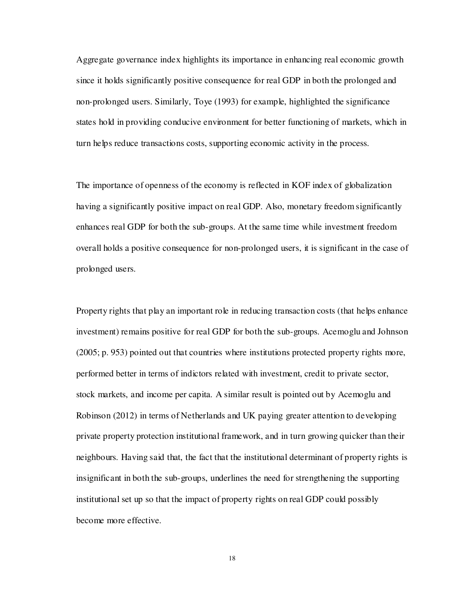Aggregate governance index highlights its importance in enhancing real economic growth since it holds significantly positive consequence for real GDP in both the prolonged and non-prolonged users. Similarly, Toye (1993) for example, highlighted the significance states hold in providing conducive environment for better functioning of markets, which in turn helps reduce transactions costs, supporting economic activity in the process.

The importance of openness of the economy is reflected in KOF index of globalization having a significantly positive impact on real GDP. Also, monetary freedom significantly enhances real GDP for both the sub-groups. At the same time while investment freedom overall holds a positive consequence for non-prolonged users, it is significant in the case of prolonged users.

Property rights that play an important role in reducing transaction costs (that helps enhance investment) remains positive for real GDP for both the sub-groups. Acemoglu and Johnson (2005; p. 953) pointed out that countries where institutions protected property rights more, performed better in terms of indictors related with investment, credit to private sector, stock markets, and income per capita. A similar result is pointed out by Acemoglu and Robinson (2012) in terms of Netherlands and UK paying greater attention to developing private property protection institutional framework, and in turn growing quicker than their neighbours. Having said that, the fact that the institutional determinant of property rights is insignificant in both the sub-groups, underlines the need for strengthening the supporting institutional set up so that the impact of property rights on real GDP could possibly become more effective.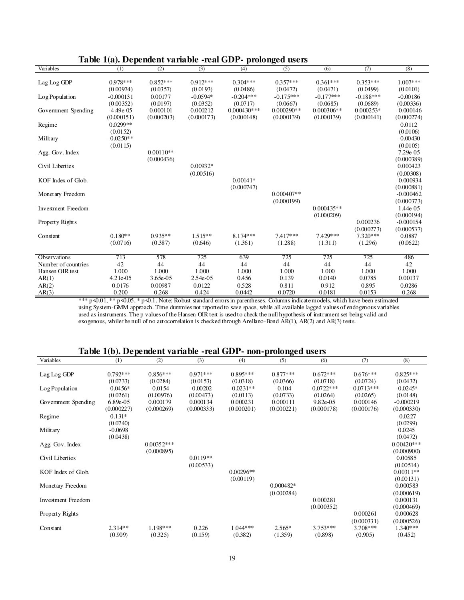|                           | Table 1(a). Dependent variable -real GDP- prolonged users |             |            |               |              |              |             |             |  |  |  |
|---------------------------|-----------------------------------------------------------|-------------|------------|---------------|--------------|--------------|-------------|-------------|--|--|--|
| Variables                 | (1)                                                       | (2)         | (3)        | (4)           | (5)          | (6)          | (7)         | (8)         |  |  |  |
| Lag Log GDP               | $0.978***$                                                | $0.852***$  | $0.912***$ | $0.304***$    | $0.357***$   | $0.361***$   | $0.353***$  | $1.007***$  |  |  |  |
|                           | (0.00974)                                                 | (0.0357)    | (0.0193)   | (0.0486)      | (0.0472)     | (0.0471)     | (0.0499)    | (0.0101)    |  |  |  |
| Log Population            | $-0.000131$                                               | 0.00177     | $-0.0594*$ | $-0.204***$   | $-0.175***$  | $-0.177***$  | $-0.188***$ | $-0.00186$  |  |  |  |
|                           | (0.00352)                                                 | (0.0197)    | (0.0352)   | (0.0717)      | (0.0667)     | (0.0685)     | (0.0689)    | (0.00336)   |  |  |  |
| Government Spending       | $-4.49e - 05$                                             | 0.000101    | 0.000212   | $0.000430***$ | $0.000290**$ | $0.000306**$ | $0.000253*$ | $-0.000146$ |  |  |  |
|                           | (0.000151)                                                | (0.000203)  | (0.000173) | (0.000148)    | (0.000139)   | (0.000139)   | (0.000141)  | (0.000274)  |  |  |  |
| Regime                    | $0.0299**$                                                |             |            |               |              |              |             | 0.0112      |  |  |  |
|                           | (0.0152)                                                  |             |            |               |              |              |             | (0.0106)    |  |  |  |
| Military                  | $-0.0250**$                                               |             |            |               |              |              |             | $-0.00430$  |  |  |  |
|                           | (0.0115)                                                  |             |            |               |              |              |             | (0.0105)    |  |  |  |
| Agg. Gov. Index           |                                                           | $0.00110**$ |            |               |              |              |             | 7.29e-05    |  |  |  |
|                           |                                                           | (0.000436)  |            |               |              |              |             | (0.000389)  |  |  |  |
| Civil Liberties           |                                                           |             | $0.00932*$ |               |              |              |             | 0.000423    |  |  |  |
|                           |                                                           |             | (0.00516)  |               |              |              |             | (0.00308)   |  |  |  |
| KOF Index of Glob.        |                                                           |             |            | $0.00141*$    |              |              |             | $-0.000934$ |  |  |  |
|                           |                                                           |             |            | (0.000747)    |              |              |             | (0.000881)  |  |  |  |
| Monetary Freedom          |                                                           |             |            |               | $0.000407**$ |              |             | $-0.000462$ |  |  |  |
|                           |                                                           |             |            |               | (0.000199)   |              |             | (0.000373)  |  |  |  |
| <b>Investment Freedom</b> |                                                           |             |            |               |              | $0.000435**$ |             | 1.44e-05    |  |  |  |
|                           |                                                           |             |            |               |              | (0.000209)   |             | (0.000194)  |  |  |  |
| Property Rights           |                                                           |             |            |               |              |              | 0.000236    | $-0.000154$ |  |  |  |
|                           |                                                           |             |            |               |              |              | (0.000273)  | (0.000537)  |  |  |  |
| Constant                  | $0.180**$                                                 | $0.935**$   | $1.515**$  | $8.174***$    | 7.417***     | 7.429 ***    | $7.320***$  | 0.0887      |  |  |  |
|                           | (0.0716)                                                  | (0.387)     | (0.646)    | (1.361)       | (1.288)      | (1.311)      | (1.296)     | (0.0622)    |  |  |  |
|                           |                                                           |             |            |               |              |              |             |             |  |  |  |
| <b>Observations</b>       | 713                                                       | 578         | 725        | 639           | 725          | 725          | 725         | 486         |  |  |  |
| Number of countries       | 42                                                        | 44          | 44         | 44            | 44           | 44           | 44          | 42          |  |  |  |
| Hansen OIR test           | 1.000                                                     | 1.000       | 1.000      | 1.000         | 1.000        | 1.000        | 1.000       | 1.000       |  |  |  |
| AR(1)                     | $4.21e-0.5$                                               | 3.65e-05    | 2.54e-05   | 0.456         | 0.139        | 0.0140       | 0.0785      | 0.00137     |  |  |  |
| AR(2)                     | 0.0176                                                    | 0.00987     | 0.0122     | 0.528         | 0.811        | 0.912        | 0.895       | 0.0286      |  |  |  |
| AR(3)                     | 0.200                                                     | 0.268       | 0.424      | 0.0442        | 0.0720       | 0.0181       | 0.0153      | 0.268       |  |  |  |

AR(3) 0.200 0.268 0.424 0.0442 0.0720 0.0181 0.0153 0.268 \*\*\* p<0.01, \*\* p<0.05, \* p<0.1. Note: Robust standard errors in parentheses. Columns indicate models, which have been estimated using System-GMM approach. Time dummies not reported to save space, while all available lagged values of endogenous variables used as instruments. The p-values of the Hansen OIR test is used to check the null hypothesis of instrument set being valid and exogenous, while the null of no autocorrelation is checked through Arellano-Bond  $\overrightarrow{AR}(1)$ , AR(2) and AR(3) tests.

# **Table 1(b). Dependent variable -real GDP- non-prolonged users**

| $0.792***$<br>$0.856***$<br>$0.971***$<br>$0.895***$<br>$0.877***$<br>$0.672***$<br>$0.676***$<br>$0.825***$<br>Lag Log GDP<br>(0.0733)<br>(0.0284)<br>(0.0153)<br>(0.0318)<br>(0.0366)<br>(0.0718)<br>(0.0724)<br>(0.0432)<br>$-0.0722$ ***<br>$-0.0713***$<br>$-0.0154$<br>$-0.00202$<br>$-0.0231**$<br>$-0.104$<br>$-0.0245*$<br>$-0.0456*$<br>Log Population<br>(0.0261)<br>(0.00976)<br>(0.00473)<br>(0.0113)<br>(0.0733)<br>(0.0264)<br>(0.0265)<br>(0.0148) |  |
|--------------------------------------------------------------------------------------------------------------------------------------------------------------------------------------------------------------------------------------------------------------------------------------------------------------------------------------------------------------------------------------------------------------------------------------------------------------------|--|
|                                                                                                                                                                                                                                                                                                                                                                                                                                                                    |  |
|                                                                                                                                                                                                                                                                                                                                                                                                                                                                    |  |
|                                                                                                                                                                                                                                                                                                                                                                                                                                                                    |  |
|                                                                                                                                                                                                                                                                                                                                                                                                                                                                    |  |
| 6.89e-05<br>0.000179<br>0.000134<br>0.000231<br>0.000111<br>9.82e-05<br>0.000146<br>$-0.000219$<br>Government Spending                                                                                                                                                                                                                                                                                                                                             |  |
| (0.000176)<br>(0.000227)<br>(0.000269)<br>(0.000333)<br>(0.000201)<br>(0.000221)<br>(0.000178)<br>(0.000330)                                                                                                                                                                                                                                                                                                                                                       |  |
| $0.131*$<br>$-0.0227$<br>Regime                                                                                                                                                                                                                                                                                                                                                                                                                                    |  |
| (0.0740)<br>(0.0299)                                                                                                                                                                                                                                                                                                                                                                                                                                               |  |
| 0.0245<br>Military<br>$-0.0698$                                                                                                                                                                                                                                                                                                                                                                                                                                    |  |
| (0.0438)<br>(0.0472)                                                                                                                                                                                                                                                                                                                                                                                                                                               |  |
| $0.00352***$<br>$0.00420**$<br>Agg. Gov. Index                                                                                                                                                                                                                                                                                                                                                                                                                     |  |
| (0.000895)<br>(0.000900)<br>$0.0119**$<br>Civil Liberties<br>0.00585                                                                                                                                                                                                                                                                                                                                                                                               |  |
| (0.00514)<br>(0.00533)                                                                                                                                                                                                                                                                                                                                                                                                                                             |  |
| $0.00296**$<br>$0.00311**$<br>KOF Index of Glob.                                                                                                                                                                                                                                                                                                                                                                                                                   |  |
| (0.00119)<br>(0.00131)                                                                                                                                                                                                                                                                                                                                                                                                                                             |  |
| $0.000482*$<br>0.000583<br>Monetary Freedom                                                                                                                                                                                                                                                                                                                                                                                                                        |  |
| (0.000619)<br>(0.000284)                                                                                                                                                                                                                                                                                                                                                                                                                                           |  |
| 0.000281<br>0.000131<br><b>Investment Freedom</b>                                                                                                                                                                                                                                                                                                                                                                                                                  |  |
| (0.000352)<br>(0.000469)                                                                                                                                                                                                                                                                                                                                                                                                                                           |  |
| 0.000261<br>0.000628<br>Property Rights<br>(0.000331)<br>(0.000526)                                                                                                                                                                                                                                                                                                                                                                                                |  |
|                                                                                                                                                                                                                                                                                                                                                                                                                                                                    |  |
| (0.909)<br>(0.325)<br>(0.159)<br>(0.382)<br>(1.359)<br>(0.898)<br>(0.905)<br>(0.452)                                                                                                                                                                                                                                                                                                                                                                               |  |
| 0.226<br>$3.753***$<br>$2.314**$<br>$1.198***$<br>$1.044***$<br>$2.565*$<br>$3.708***$<br>$1.340***$<br>Constant                                                                                                                                                                                                                                                                                                                                                   |  |

## **Table 1(a). Dependent variable -real GDP- prolonged users**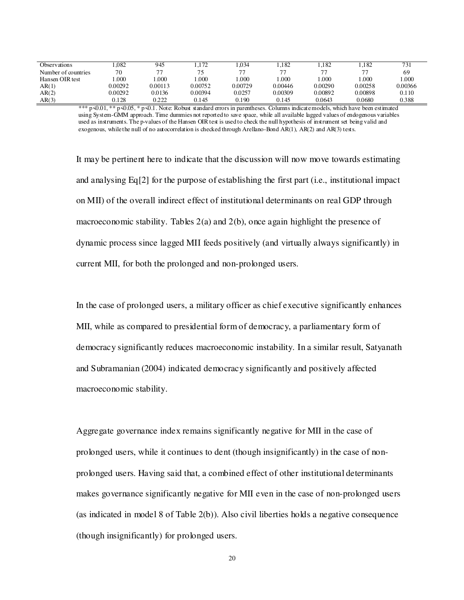| Observations        | .082    | 945     | .172    | .034    | .182    | .182    | .182    | 731     |
|---------------------|---------|---------|---------|---------|---------|---------|---------|---------|
| Number of countries | 70      | 77      |         | 77      |         | 77      |         | 69      |
| Hansen OIR test     | .000    | .000    | .000    | .000    | .000    | .000    | .000    | .000    |
| AR(1)               | 0.00292 | 0.00113 | 0.00752 | 0.00729 | 0.00446 | 0.00290 | 0.00258 | 0.00366 |
| AR(2)               | 0.00292 | 0.0136  | 0.00394 | 0.0257  | 0.00309 | 0.00892 | 0.00898 | 0.110   |
| AR(3)               | 0.128   | 0.222   | 0.145   | 0.190   | 0.145   | 0.0643  | 0.0680  | 0.388   |

\*\*\* p  $\triangleleft 0.01$ , \*\* p  $\triangleleft 0.05$ , \* p  $\triangleleft 0.1$ . Note: Robust standard errors in parentheses. Columns indicate models, which have been estimated using System-GMM approach. Time dummies not reported to save space, while all available lagged values of endogenous variables used as instruments. The p-values of the Hansen OIR test is used to check the null hypothesis of instrument set being valid and exogenous, while the null of no autocorrelation is checked through Arellano-Bond AR(1), AR(2) and AR(3) tests.

It may be pertinent here to indicate that the discussion will now move towards estimating and analysing Eq[2] for the purpose of establishing the first part (i.e., institutional impact on MII) of the overall indirect effect of institutional determinants on real GDP through macroeconomic stability. Tables 2(a) and 2(b), once again highlight the presence of dynamic process since lagged MII feeds positively (and virtually always significantly) in current MII, for both the prolonged and non-prolonged users.

In the case of prolonged users, a military officer as chief executive significantly enhances MII, while as compared to presidential form of democracy, a parliamentary form of democracy significantly reduces macroeconomic instability. In a similar result, Satyanath and Subramanian (2004) indicated democracy significantly and positively affected macroeconomic stability.

Aggregate governance index remains significantly negative for MII in the case of prolonged users, while it continues to dent (though insignificantly) in the case of nonprolonged users. Having said that, a combined effect of other institutional determinants makes governance significantly negative for MII even in the case of non-prolonged users (as indicated in model 8 of Table 2(b)). Also civil liberties holds a negative consequence (though insignificantly) for prolonged users.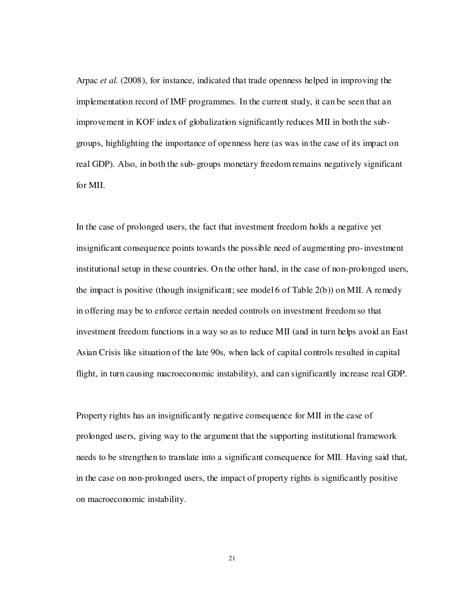Arpac *et al.* (2008), for instance, indicated that trade openness helped in improving the implementation record of IMF programmes. In the current study, it can be seen that an improvement in KOF index of globalization significantly reduces MII in both the subgroups, highlighting the importance of openness here (as was in the case of its impact on real GDP). Also, in both the sub-groups monetary freedom remains negatively significant for MII.

In the case of prolonged users, the fact that investment freedom holds a negative yet insignificant consequence points towards the possible need of augmenting pro-investment institutional setup in these countries. On the other hand, in the case of non-prolonged users, the impact is positive (though insignificant; see model 6 of Table  $2(b)$ ) on MII. A remedy in offering may be to enforce certain needed controls on investment freedom so that investment freedom functions in a way so as to reduce MII (and in turn helps avoid an East Asian Crisis like situation of the late 90s, when lack of capital controls resulted in capital flight, in turn causing macroeconomic instability), and can significantly increase real GDP.

Property rights has an insignificantly negative consequence for MII in the case of prolonged users, giving way to the argument that the supporting institutional framework needs to be strengthen to translate into a significant consequence for MII. Having said that, in the case on non-prolonged users, the impact of property rights is significantly positive on macroeconomic instability.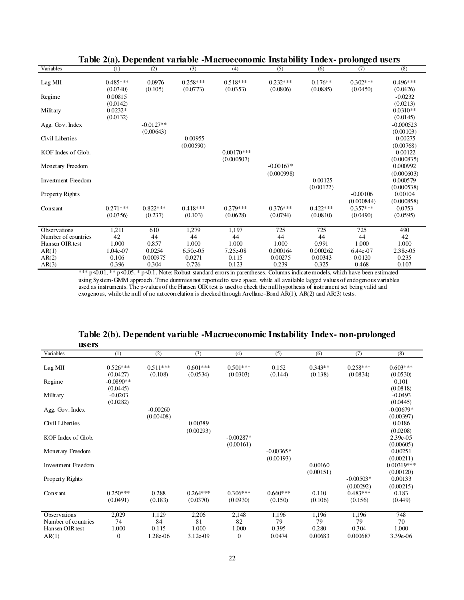| Variables                 | (1)        | (2)         | (3)        | (4)            | (5)         | (6)        | (7)        | (8)         |
|---------------------------|------------|-------------|------------|----------------|-------------|------------|------------|-------------|
|                           |            |             |            |                |             |            |            |             |
| Lag MII                   | $0.485***$ | $-0.0976$   | $0.258***$ | $0.518***$     | $0.232***$  | $0.176**$  | $0.302***$ | $0.496***$  |
|                           | (0.0340)   | (0.105)     | (0.0773)   | (0.0353)       | (0.0806)    | (0.0885)   | (0.0450)   | (0.0426)    |
| Regime                    | 0.00815    |             |            |                |             |            |            | $-0.0232$   |
|                           | (0.0142)   |             |            |                |             |            |            | (0.0213)    |
| Military                  | $0.0232*$  |             |            |                |             |            |            | $0.0310**$  |
|                           | (0.0132)   |             |            |                |             |            |            | (0.0145)    |
| Agg. Gov. Index           |            | $-0.0127**$ |            |                |             |            |            | $-0.000523$ |
|                           |            | (0.00643)   |            |                |             |            |            | (0.00103)   |
| Civil Liberties           |            |             | $-0.00955$ |                |             |            |            | $-0.00275$  |
|                           |            |             | (0.00590)  |                |             |            |            | (0.00768)   |
| KOF Index of Glob.        |            |             |            | $-0.00170$ *** |             |            |            | $-0.00122$  |
|                           |            |             |            |                |             |            |            |             |
|                           |            |             |            | (0.000507)     | $-0.00167*$ |            |            | (0.000835)  |
| Monetary Freedom          |            |             |            |                |             |            |            | 0.000992    |
|                           |            |             |            |                | (0.000998)  |            |            | (0.000603)  |
| <b>Investment Freedom</b> |            |             |            |                |             | $-0.00125$ |            | 0.000579    |
|                           |            |             |            |                |             | (0.00122)  |            | (0.000538)  |
| Property Rights           |            |             |            |                |             |            | $-0.00106$ | 0.00104     |
|                           |            |             |            |                |             |            | (0.000844) | (0.000858)  |
| Constant                  | $0.271***$ | $0.822***$  | $0.418***$ | $0.279***$     | $0.376***$  | $0.422***$ | $0.357***$ | 0.0753      |
|                           | (0.0356)   | (0.237)     | (0.103)    | (0.0628)       | (0.0794)    | (0.0810)   | (0.0490)   | (0.0595)    |
|                           |            |             |            |                |             |            |            |             |
| Observations              | 1,211      | 610         | 1,279      | 1,197          | 725         | 725        | 725        | 490         |
| Number of countries       | 42         | 44          | 44         | 44             | 44          | 44         | 44         | 42          |
| Hansen OIR test           | 1.000      | 0.857       | 1.000      | 1.000          | 1.000       | 0.991      | 1.000      | 1.000       |
| AR(1)                     | 1.04e-07   | 0.0254      | 6.50e-05   | 7.25e-08       | 0.000164    | 0.000262   | 6.44e-07   | 2.38e-05    |
| AR(2)                     | 0.106      | 0.000975    | 0.0271     | 0.115          | 0.00275     | 0.00343    | 0.0120     | 0.235       |
| AR(3)                     | 0.396      | 0.304       | 0.726      | 0.123          | 0.239       | 0.325      | 0.468      | 0.107       |

## **Table 2(a). Dependent variable -Macroeconomic Instability Index- prolonged users**

\*\*\* p<0.01, \*\* p<0.05, \* p<0.1. Note: Robust standard errors in parentheses. Columns indicate models, which have been estimated using System-GMM approach. Time dummies not reported to save space, while all available lagged values of endogenous variables used as instruments. The p-values of the Hansen OIR test is used to check the null hypothesis of instrument set being valid and exogenous, while the null of no autocorrelation is checked through Arellano-Bond AR(1), AR(2) and AR(3) tests.

#### **Table 2(b). Dependent variable -Macroeconomic Instability Index- non-prolonged users**

| ustis                     |                  |            |            |                  |             |           |             |              |
|---------------------------|------------------|------------|------------|------------------|-------------|-----------|-------------|--------------|
| Variables                 | (1)              | (2)        | (3)        | (4)              | (5)         | (6)       | (7)         | (8)          |
|                           |                  |            |            |                  |             |           |             |              |
| Lag MII                   | $0.526***$       | $0.511***$ | $0.601***$ | $0.501***$       | 0.152       | $0.343**$ | $0.258***$  | $0.603***$   |
|                           | (0.0427)         | (0.108)    | (0.0534)   | (0.0303)         | (0.144)     | (0.138)   | (0.0834)    | (0.0530)     |
| Regime                    | $-0.0890**$      |            |            |                  |             |           |             | 0.101        |
|                           | (0.0445)         |            |            |                  |             |           |             | (0.0818)     |
| Military                  | $-0.0203$        |            |            |                  |             |           |             | $-0.0493$    |
|                           | (0.0282)         |            |            |                  |             |           |             | (0.0445)     |
| Agg. Gov. Index           |                  | $-0.00260$ |            |                  |             |           |             | $-0.00679*$  |
|                           |                  | (0.00408)  |            |                  |             |           |             | (0.00397)    |
| Civil Liberties           |                  |            | 0.00389    |                  |             |           |             | 0.0186       |
|                           |                  |            | (0.00293)  |                  |             |           |             | (0.0208)     |
| KOF Index of Glob.        |                  |            |            | $-0.00287*$      |             |           |             | 2.39e-05     |
|                           |                  |            |            | (0.00161)        |             |           |             | (0.00605)    |
| Monetary Freedom          |                  |            |            |                  | $-0.00365*$ |           |             | 0.00251      |
|                           |                  |            |            |                  | (0.00193)   |           |             | (0.00211)    |
| <b>Investment Freedom</b> |                  |            |            |                  |             | 0.00160   |             | $0.00319***$ |
|                           |                  |            |            |                  |             | (0.00151) |             | (0.00120)    |
| Property Rights           |                  |            |            |                  |             |           | $-0.00503*$ | 0.00133      |
|                           |                  |            |            |                  |             |           | (0.00292)   | (0.00215)    |
| Constant                  | $0.250***$       | 0.288      | $0.264***$ | $0.306***$       | $0.660***$  | 0.110     | $0.483***$  | 0.183        |
|                           | (0.0491)         | (0.183)    | (0.0370)   | (0.0930)         | (0.150)     | (0.106)   | (0.156)     | (0.449)      |
|                           |                  |            |            |                  |             |           |             |              |
| Observations              | 2,029            | 1,129      | 2,206      | 2,148            | 1,196       | 1,196     | 1,196       | 748          |
| Number of countries       | 74               | 84         | 81         | 82               | 79          | 79        | 79          | 70           |
| Hansen OIR test           | 1.000            | 0.115      | 1.000      | 1.000            | 0.395       | 0.280     | 0.304       | 1.000        |
| AR(1)                     | $\boldsymbol{0}$ | 1.28e-06   | $3.12e-09$ | $\boldsymbol{0}$ | 0.0474      | 0.00683   | 0.000687    | 3.39e-06     |
|                           |                  |            |            |                  |             |           |             |              |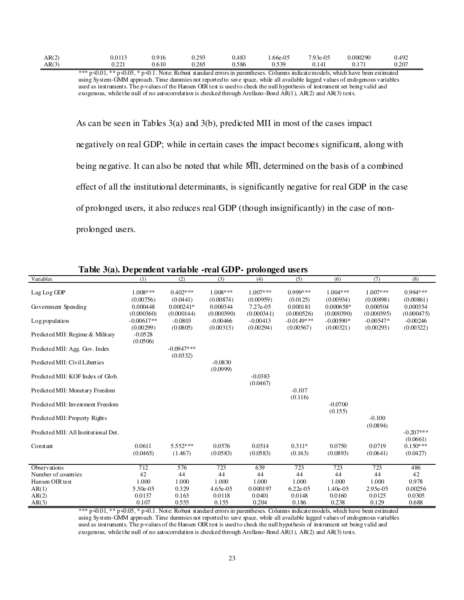| AR(2) |                                                          | 0.0113                        | 0.916                                     | 293<br>U .∠ J J | 0.483 | .66e-05        | 7.93e-05  | 0.000290        | 0.492         |
|-------|----------------------------------------------------------|-------------------------------|-------------------------------------------|-----------------|-------|----------------|-----------|-----------------|---------------|
| AR(3) |                                                          | 122<br>$\cdot$ . $\sim$       | 0.610                                     | 0.265           | 0.586 | 530 ،<br>ر ر … | $0.1 + 1$ | $\sqrt{17}$<br> | ∩ ว∩ว<br>∪.∠∪ |
|       | $-1 - 1 - 1 - 1 -$<br>$\sim$ $\sim$ $\sim$ $\sim$ $\sim$ | $\sim$ $\sim$<br>$\mathbf{a}$ | $\sim$ $\sim$ $\sim$ $\sim$<br>$\sqrt{2}$ |                 |       |                |           |                 |               |

\*\*\* p $\triangleleft 0.01$ , \*\* p $\triangleleft 0.05$ , \* p $\triangleleft 0.1$ . Note: Robust standard errors in parentheses. Columns indicate models, which have been estimated using System-GMM approach. Time dummies not reported to save space, while all available lagged values of endogenous variables used as instruments. The p-values of the Hansen OIR test is used to check the null hypothesis of instrument set being valid and exogenous, while the null of no autocorrelation is checked through Arellano-Bond AR(1), AR(2) and AR(3) tests.

As can be seen in Tables 3(a) and 3(b), predicted MII in most of the cases impact negatively on real GDP; while in certain cases the impact becomes significant, along with being negative. It can also be noted that while MII, determined on the basis of a combined effect of all the institutional determinants, is significantly negative for real GDP in the case of prolonged users, it also reduces real GDP (though insignificantly) in the case of nonprolonged users.

| Variables                             | (1)          | (2)          | (3)         | (4)        | (5)           | (6)         | (7)         | (8)         |
|---------------------------------------|--------------|--------------|-------------|------------|---------------|-------------|-------------|-------------|
|                                       |              |              |             |            | $0.999***$    |             |             |             |
| Lag Log GDP                           | $1.008***$   | $0.402***$   | $1.008$ *** | $1.007***$ |               | $1.004***$  | $1.007***$  | $0.994***$  |
|                                       | (0.00756)    | (0.0441)     | (0.00874)   | (0.00959)  | (0.0125)      | (0.00934)   | (0.00898)   | (0.00861)   |
| Government Spending                   | 0.000448     | $0.000241*$  | 0.000344    | 7.27e-05   | 0.000181      | 0.000658*   | 0.000504    | 0.000354    |
|                                       | (0.000360)   | (0.000144)   | (0.000390)  | (0.000341) | (0.000526)    | (0.000390)  | (0.000395)  | (0.000475)  |
| Log population                        | $-0.00617**$ | $-0.0803$    | $-0.00466$  | $-0.00413$ | $-0.0149$ *** | $-0.00590*$ | $-0.00547*$ | $-0.00246$  |
|                                       | (0.00299)    | (0.0805)     | (0.00313)   | (0.00294)  | (0.00567)     | (0.00321)   | (0.00293)   | (0.00322)   |
| Predicted MII: Regime & Military      | $-0.0528$    |              |             |            |               |             |             |             |
|                                       | (0.0506)     |              |             |            |               |             |             |             |
| Predicted MII: Agg. Gov. Index        |              | $-0.0947***$ |             |            |               |             |             |             |
|                                       |              | (0.0332)     |             |            |               |             |             |             |
| Predicted MII: Civil Liberties        |              |              | $-0.0830$   |            |               |             |             |             |
|                                       |              |              | (0.0999)    |            |               |             |             |             |
| Predicted MII: KOF Index of Glob.     |              |              |             | $-0.0383$  |               |             |             |             |
|                                       |              |              |             | (0.0467)   |               |             |             |             |
| Predicted MII: Monetary Freedom       |              |              |             |            | $-0.107$      |             |             |             |
|                                       |              |              |             |            | (0.116)       |             |             |             |
| Predicted MII: Investment Freedom     |              |              |             |            |               | $-0.0700$   |             |             |
|                                       |              |              |             |            |               | (0.155)     |             |             |
| Predicted MII: Property Rights        |              |              |             |            |               |             | $-0.100$    |             |
|                                       |              |              |             |            |               |             | (0.0894)    |             |
| Predicted MII: All Institutional Det. |              |              |             |            |               |             |             | $-0.207***$ |
|                                       |              |              |             |            |               |             |             | (0.0661)    |
| Constant                              | 0.0611       | $5.552***$   | 0.0576      | 0.0514     | $0.311*$      | 0.0750      | 0.0719      | $0.150***$  |
|                                       | (0.0465)     | (1.467)      | (0.0583)    | (0.0583)   | (0.163)       | (0.0893)    | (0.0641)    | (0.0427)    |
|                                       |              |              |             |            |               |             |             |             |
| <b>Observations</b>                   | 712          | 576          | 723         | 639        | 723           | 723         | 723         | 486         |
| Number of countries                   | 42           | 44           | 44          | 44         | 44            | 44          | 44          | 42          |
| Hansen OIR test                       | 1.000        | 1.000        | 1.000       | 1.000      | 1.000         | 1.000       | 1.000       | 0.978       |
| AR(1)                                 | 5.30e-05     | 0.329        | $4.65e-05$  | 0.000197   | $6.22e-0.5$   | 1.40e-05    | 2.95e-05    | 0.00256     |
| AR(2)                                 | 0.0137       | 0.163        | 0.0118      | 0.0401     | 0.0148        | 0.0160      | 0.0125      | 0.0305      |
| AR(3)                                 | 0.107        | 0.555        | 0.155       | 0.204      | 0.186         | 0.238       | 0.129       | 0.688       |

| Table 3(a). Dependent variable -real GDP- prolonged users |  |  |  |  |  |  |  |
|-----------------------------------------------------------|--|--|--|--|--|--|--|
|-----------------------------------------------------------|--|--|--|--|--|--|--|

\*\*\*  $p \triangleleft 0.01$ , \*\*  $p \triangleleft 0.05$ , \*  $p \triangleleft 0.1$ . Note: Robust standard errors in parentheses. Columns indicate models, which have been estimated using System-GMM approach. Time dummies not reported to save space, while all available lagged values of endogenous variables used as instruments. The p-values of the Hansen OIR test is used to check the null hypothesis of instrument set being valid and exogenous, while the null of no autocorrelation is checked through Arellano-Bond AR(1), AR(2) and AR(3) tests.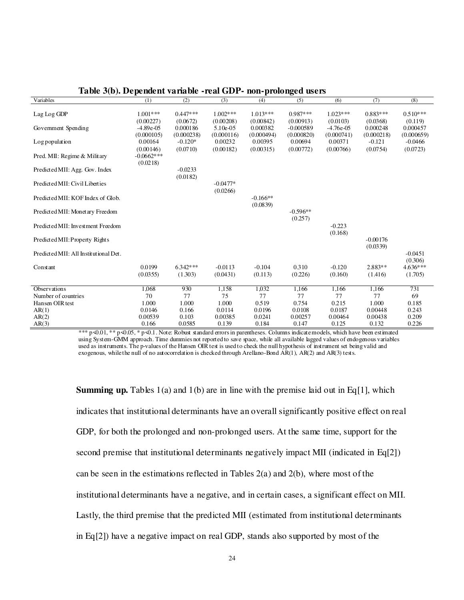| Variables                             | (1)           | (2)        | (3)         | (4)        | (5)         | (6)         | (7)        | (8)        |
|---------------------------------------|---------------|------------|-------------|------------|-------------|-------------|------------|------------|
|                                       |               |            |             |            |             |             |            |            |
| Lag Log GDP                           | $1.001***$    | $0.447***$ | $1.002***$  | $1.013***$ | $0.987***$  | $1.023***$  | $0.883***$ | $0.510***$ |
|                                       | (0.00227)     | (0.0672)   | (0.00208)   | (0.00842)  | (0.00913)   | (0.0103)    | (0.0368)   | (0.119)    |
| Government Spending                   | $-4.89e - 05$ | 0.000186   | $5.10e-0.5$ | 0.000382   | $-0.000589$ | $-4.76e-05$ | 0.000248   | 0.000457   |
|                                       | (0.000105)    | (0.000238) | (0.000116)  | (0.000494) | (0.000820)  | (0.000741)  | (0.000218) | (0.000659) |
| Log population                        | 0.00164       | $-0.120*$  | 0.00232     | 0.00395    | 0.00694     | 0.00371     | $-0.121$   | $-0.0466$  |
|                                       | (0.00146)     | (0.0710)   | (0.00182)   | (0.00315)  | (0.00772)   | (0.00766)   | (0.0754)   | (0.0723)   |
| Pred. MII: Regime & Military          | $-0.0662***$  |            |             |            |             |             |            |            |
|                                       | (0.0218)      |            |             |            |             |             |            |            |
| Predicted MII: Agg. Gov. Index        |               | $-0.0233$  |             |            |             |             |            |            |
|                                       |               | (0.0182)   |             |            |             |             |            |            |
| Predicted MII: Civil Liberties        |               |            | $-0.0477*$  |            |             |             |            |            |
|                                       |               |            | (0.0266)    |            |             |             |            |            |
| Predicted MII: KOF Index of Glob.     |               |            |             | $-0.166**$ |             |             |            |            |
|                                       |               |            |             | (0.0839)   |             |             |            |            |
| Predicted MII: Monetary Freedom       |               |            |             |            | $-0.596**$  |             |            |            |
|                                       |               |            |             |            | (0.257)     |             |            |            |
| Predicted MII: Investment Freedom     |               |            |             |            |             | $-0.223$    |            |            |
|                                       |               |            |             |            |             | (0.168)     |            |            |
| Predicted MII: Property Rights        |               |            |             |            |             |             | $-0.00176$ |            |
|                                       |               |            |             |            |             |             | (0.0339)   |            |
| Predicted MII: All Institutional Det. |               |            |             |            |             |             |            | $-0.0451$  |
|                                       |               |            |             |            |             |             |            | (0.306)    |
| Constant                              | 0.0199        | $6.342***$ | $-0.0113$   | $-0.104$   | 0.310       | $-0.120$    | $2.883**$  | $4.636***$ |
|                                       | (0.0355)      | (1.303)    | (0.0431)    | (0.113)    | (0.226)     | (0.160)     | (1.416)    | (1.705)    |
|                                       |               |            |             |            |             |             |            |            |
| Observations                          | 1,068         | 930        | 1,158       | 1,032      | 1,166       | 1,166       | 1,166      | 731        |
| Number of countries                   | 70            | 77         | 75          | 77         | 77          | 77          | 77         | 69         |
| Hansen OIR test                       | 1.000         | 1.000      | 1.000       | 0.519      | 0.754       | 0.215       | 1.000      | 0.185      |
| AR(1)                                 | 0.0146        | 0.166      | 0.0114      | 0.0196     | 0.0108      | 0.0187      | 0.00448    | 0.243      |
| AR(2)                                 | 0.00539       | 0.103      | 0.00385     | 0.0241     | 0.00257     | 0.00464     | 0.00438    | 0.209      |
| AR(3)                                 | 0.166         | 0.0585     | 0.139       | 0.184      | 0.147       | 0.125       | 0.132      | 0.226      |

### **Table 3(b). Dependent variable -real GDP- non-prolonged users**

\*\*\* p <0.01, \*\* p <0.05, \* p <0.1. Note: Robust standard errors in parentheses. Columns indicate models, which have been estimated using System-GMM approach. Time dummies not reported to save space, while all available lagged values of endogenous variables used as instruments. The p-values of the Hansen OIR test is used to check the null hypothesis of instrument set being valid and exogenous, while the null of no autocorrelation is checked through Arellano-Bond  $\widehat{AR}(1)$ , AR(2) and AR(3) tests.

**Summing up.** Tables 1(a) and 1(b) are in line with the premise laid out in Eq[1], which indicates that institutional determinants have an overall significantly positive effect on real GDP, for both the prolonged and non-prolonged users. At the same time, support for the second premise that institutional determinants negatively impact MII (indicated in Eq[2]) can be seen in the estimations reflected in Tables 2(a) and 2(b), where most of the institutional determinants have a negative, and in certain cases, a significant effect on MII. Lastly, the third premise that the predicted MII (estimated from institutional determinants in Eq[2]) have a negative impact on real GDP, stands also supported by most of the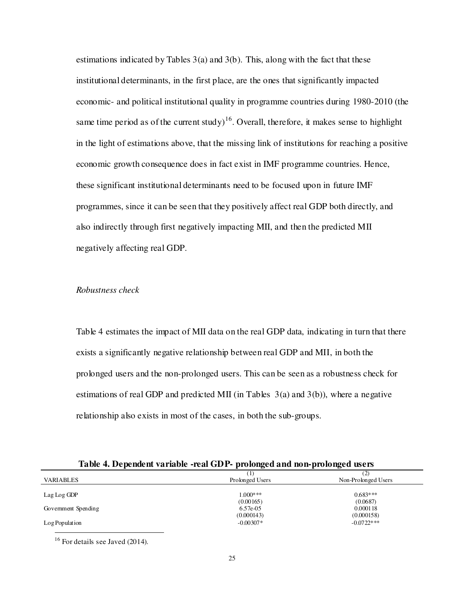estimations indicated by Tables  $3(a)$  and  $3(b)$ . This, along with the fact that these institutional determinants, in the first place, are the ones that significantly impacted economic- and political institutional quality in programme countries during 1980-2010 (the same time period as of the current study)<sup>16</sup>. Overall, therefore, it makes sense to highlight in the light of estimations above, that the missing link of institutions for reaching a positive economic growth consequence does in fact exist in IMF programme countries. Hence, these significant institutional determinants need to be focused upon in future IMF programmes, since it can be seen that they positively affect real GDP both directly, and also indirectly through first negatively impacting MII, and then the predicted MII negatively affecting real GDP.

## *Robustness check*

Table 4 estimates the impact of MII data on the real GDP data, indicating in turn that there exists a significantly negative relationship between real GDP and MII, in both the prolonged users and the non-prolonged users. This can be seen as a robustness check for estimations of real GDP and predicted MII (in Tables 3(a) and 3(b)), where a negative relationship also exists in most of the cases, in both the sub-groups.

|                     | -11             | (2)                 |
|---------------------|-----------------|---------------------|
| <b>VARIABLES</b>    | Prolonged Users | Non-Prolonged Users |
|                     | $1.000***$      | $0.683***$          |
| Lag Log GDP         | (0.00165)       | (0.0687)            |
| Government Spending | 6.57e-05        | 0.000118            |
|                     | (0.000143)      | (0.000158)          |
| Log Population      | $-0.00307*$     | $-0.0722$ ***       |

**Table 4. Dependent variable -real GDP- prolonged and non-prolonged users**

 $16$  For details see Javed (2014).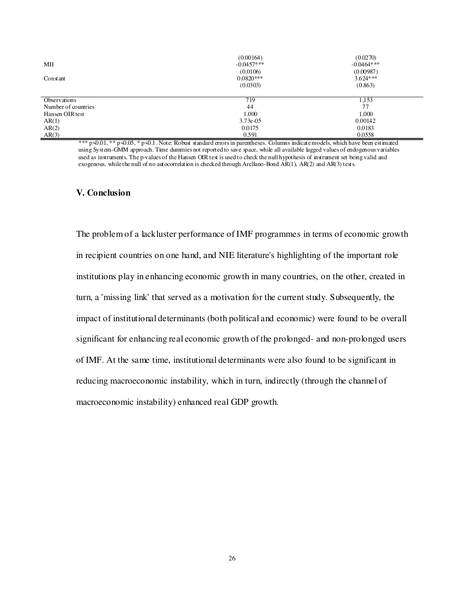|                     | (0.00164)    | (0.0270)     |
|---------------------|--------------|--------------|
| MII                 | $-0.0457***$ | $-0.0464***$ |
|                     | (0.0106)     | (0.00987)    |
| Constant            | $0.0820***$  | $3.624***$   |
|                     | (0.0303)     | (0.863)      |
|                     |              |              |
| Observations        | 719          | 1,153        |
|                     |              |              |
| Number of countries | 44           | 77           |
| Hansen OIR test     | 1.000        | 1.000        |
| AR(1)               | $3.73e-0.5$  | 0.00142      |
| AR(2)               | 0.0175       | 0.0183       |

\*\*\* p $\triangleleft 0.01$ , \*\* p $\triangleleft 0.05$ , \* p $\triangleleft$ 0.1. Note: Robust standard errors in parentheses. Columns indicate models, which have been estimated using System-GMM approach. Time dummies not reported to save space, while all available lagged values of endogenous variables used as instruments. The p-values of the Hansen OIR test is used to check the null hypothesis of instrument set being valid and exogenous, while the null of no autocorrelation is checked through Arellano-Bond  $\angle AR(1)$ ,  $AR(2)$  and  $AR(3)$  tests.

## **V. Conclusion**

The problem of a lackluster performance of IMF programmes in terms of economic growth in recipient countries on one hand, and NIE literature's highlighting of the important role institutions play in enhancing economic growth in many countries, on the other, created in turn, a 'missing link' that served as a motivation for the current study. Subsequently, the impact of institutional determinants (both political and economic) were found to be overall significant for enhancing real economic growth of the prolonged- and non-prolonged users of IMF. At the same time, institutional determinants were also found to be significant in reducing macroeconomic instability, which in turn, indirectly (through the channel of macroeconomic instability) enhanced real GDP growth.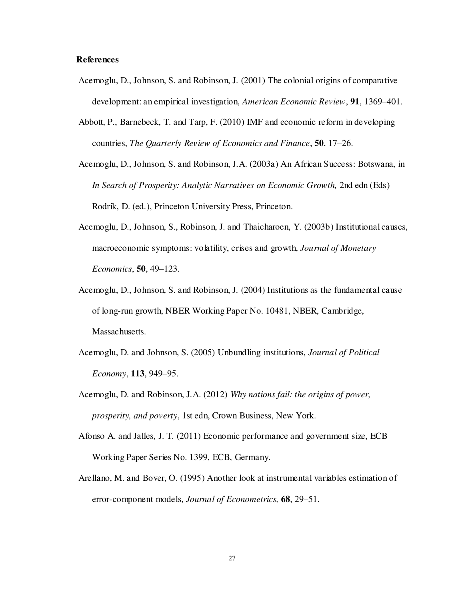## **References**

- Acemoglu, D., Johnson, S. and Robinson, J. (2001) The colonial origins of comparative development: an empirical investigation, *American Economic Review*, **91**, 1369–401.
- Abbott, P., Barnebeck, T. and Tarp, F. (2010) IMF and economic reform in developing countries, *The Quarterly Review of Economics and Finance*, **50**, 17–26.
- Acemoglu, D., Johnson, S. and Robinson, J.A. (2003a) An African Success: Botswana, in *In Search of Prosperity: Analytic Narratives on Economic Growth, 2nd edn (Eds)* Rodrik, D. (ed.), Princeton University Press, Princeton.
- Acemoglu, D., Johnson, S., Robinson, J. and Thaicharoen, Y. (2003b) Institutional causes, macroeconomic symptoms: volatility, crises and growth, *Journal of Monetary Economics*, **50**, 49–123.
- Acemoglu, D., Johnson, S. and Robinson, J. (2004) Institutions as the fundamental cause of long-run growth, NBER Working Paper No. 10481, NBER, Cambridge, Massachusetts.
- Acemoglu, D. and Johnson, S. (2005) Unbundling institutions, *Journal of Political Economy*, **113**, 949–95.
- Acemoglu, D. and Robinson, J.A. (2012) *Why nations fail: the origins of power, prosperity, and poverty*, 1st edn, Crown Business, New York.
- Afonso A. and Jalles, J. T. (2011) Economic performance and government size, ECB Working Paper Series No. 1399, ECB, Germany.
- Arellano, M. and Bover, O. (1995) Another look at instrumental variables estimation of error-component models, *Journal of Econometrics,* **68**, 29–51.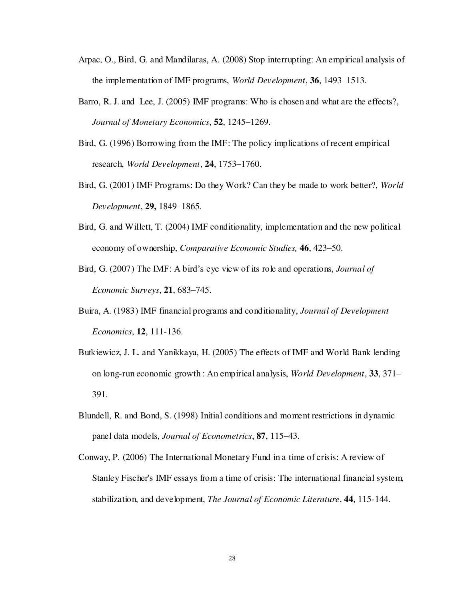- Arpac, O., Bird, G. and Mandilaras, A. (2008) Stop interrupting: An empirical analysis of the implementation of IMF programs, *World Development*, **36**, 1493–1513.
- Barro, R. J. and Lee, J. (2005) IMF programs: Who is chosen and what are the effects?, *Journal of Monetary Economics*, **52**, 1245–1269.
- Bird, G. (1996) Borrowing from the IMF: The policy implications of recent empirical research, *World Development*, **24**, 1753–1760.
- Bird, G. (2001) IMF Programs: Do they Work? Can they be made to work better?, *World Development*, **29,** 1849–1865.
- Bird, G. and Willett, T. (2004) IMF conditionality, implementation and the new political economy of ownership, *Comparative Economic Studies,* **46**, 423–50.
- Bird, G. (2007) The IMF: A bird's eye view of its role and operations, *Journal of Economic Surveys*, **21**, 683–745.
- Buira, A. (1983) IMF financial programs and conditionality, *Journal of Development Economics*, **12**, 111-136.
- Butkiewicz, J. L. and Yanikkaya, H. (2005) The effects of IMF and World Bank lending on long-run economic growth : An empirical analysis, *World Development*, **33**, 371– 391.
- Blundell, R. and Bond, S. (1998) Initial conditions and moment restrictions in dynamic panel data models, *Journal of Econometrics*, **87**, 115–43.
- Conway, P. (2006) The International Monetary Fund in a time of crisis: A review of Stanley Fischer's IMF essays from a time of crisis: The international financial system, stabilization, and development, *The Journal of Economic Literature*, **44**, 115-144.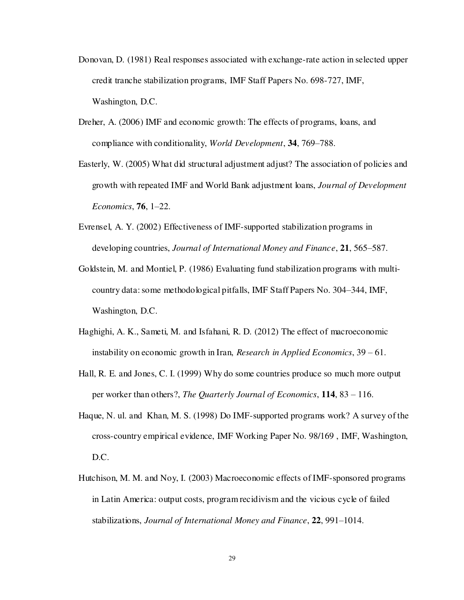- Donovan, D. (1981) Real responses associated with exchange-rate action in selected upper credit tranche stabilization programs, IMF Staff Papers No. 698-727, IMF, Washington, D.C.
- Dreher, A. (2006) IMF and economic growth: The effects of programs, loans, and compliance with conditionality, *World Development*, **34**, 769–788.
- Easterly, W. (2005) What did structural adjustment adjust? The association of policies and growth with repeated IMF and World Bank adjustment loans, *Journal of Development Economics*, **76**, 1–22.
- Evrensel, A. Y. (2002) Effectiveness of IMF-supported stabilization programs in developing countries, *Journal of International Money and Finance*, **21**, 565–587.
- Goldstein, M. and Montiel, P. (1986) Evaluating fund stabilization programs with multicountry data: some methodological pitfalls, IMF Staff Papers No. 304–344, IMF, Washington, D.C.
- Haghighi, A. K., Sameti, M. and Isfahani, R. D. (2012) The effect of macroeconomic instability on economic growth in Iran, *Research in Applied Economics*, 39 – 61.
- Hall, R. E. and Jones, C. I. (1999) Why do some countries produce so much more output per worker than others?, *The Quarterly Journal of Economics*, **114**, 83 – 116.
- Haque, N. ul. and Khan, M. S. (1998) Do IMF-supported programs work? A survey of the cross-country empirical evidence, IMF Working Paper No. 98/169 , IMF, Washington, D.C.
- Hutchison, M. M. and Noy, I. (2003) Macroeconomic effects of IMF-sponsored programs in Latin America: output costs, program recidivism and the vicious cycle of failed stabilizations, *Journal of International Money and Finance*, **22**, 991–1014.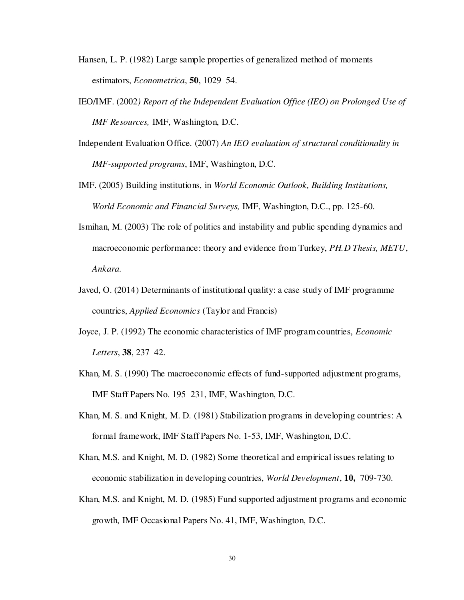- Hansen, L. P. (1982) Large sample properties of generalized method of moments estimators, *Econometrica*, **50**, 1029–54.
- IEO/IMF. (2002*) Report of the Independent Evaluation Office (IEO) on Prolonged Use of IMF Resources,* IMF, Washington, D.C.
- Independent Evaluation Office. (2007) *An IEO evaluation of structural conditionality in IMF-supported programs*, IMF, Washington, D.C.
- IMF. (2005) Building institutions, in *World Economic Outlook, Building Institutions, World Economic and Financial Surveys,* IMF, Washington, D.C., pp. 125-60.
- Ismihan, M. (2003) The role of politics and instability and public spending dynamics and macroeconomic performance: theory and evidence from Turkey, *PH.D Thesis, METU*, *Ankara.*
- Javed, O. (2014) Determinants of institutional quality: a case study of IMF programme countries, *Applied Economics* (Taylor and Francis)
- Joyce, J. P. (1992) The economic characteristics of IMF program countries, *Economic Letters*, **38**, 237–42.
- Khan, M. S. (1990) The macroeconomic effects of fund-supported adjustment programs, IMF Staff Papers No. 195–231, IMF, Washington, D.C.
- Khan, M. S. and Knight, M. D. (1981) Stabilization programs in developing countries: A formal framework, IMF Staff Papers No. 1-53, IMF, Washington, D.C.
- Khan, M.S. and Knight, M. D. (1982) Some theoretical and empirical issues relating to economic stabilization in developing countries, *World Development*, **10,** 709-730.
- Khan, M.S. and Knight, M. D. (1985) Fund supported adjustment programs and economic growth, IMF Occasional Papers No. 41, IMF, Washington, D.C.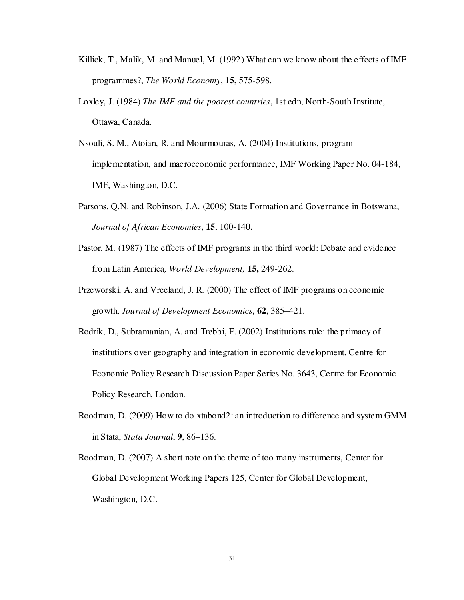- Killick, T., Malik, M. and Manuel, M. (1992) What can we know about the effects of IMF programmes?, *The World Economy*, **15,** 575-598.
- Loxley, J. (1984) *The IMF and the poorest countries*, 1st edn, North-South Institute, Ottawa, Canada.
- Nsouli, S. M., Atoian, R. and Mourmouras, A. (2004) Institutions, program implementation, and macroeconomic performance, IMF Working Paper No. 04-184, IMF, Washington, D.C.
- Parsons, Q.N. and Robinson, J.A. (2006) State Formation and Governance in Botswana, *Journal of African Economies*, **15**, 100-140.
- Pastor, M. (1987) The effects of IMF programs in the third world: Debate and evidence from Latin America*, World Development,* **15,** 249-262.
- Przeworski, A. and Vreeland, J. R. (2000) The effect of IMF programs on economic growth, *Journal of Development Economics*, **62**, 385–421.
- Rodrik, D., Subramanian, A. and Trebbi, F. (2002) Institutions rule: the primacy of institutions over geography and integration in economic development, Centre for Economic Policy Research Discussion Paper Series No. 3643, Centre for Economic Policy Research, London.
- Roodman, D. (2009) How to do xtabond2: an introduction to difference and system GMM in Stata, *Stata Journal*, **9**, 86–136.
- Roodman, D. (2007) A short note on the theme of too many instruments, Center for Global Development Working Papers 125, Center for Global Development, Washington, D.C.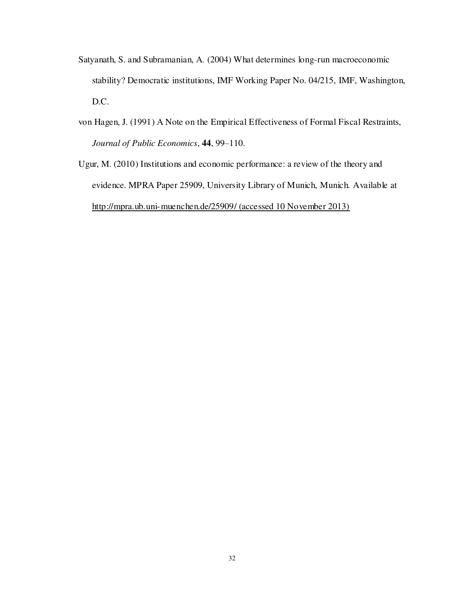- Satyanath, S. and Subramanian, A. (2004) What determines long-run macroeconomic stability? Democratic institutions, IMF Working Paper No. 04/215, IMF, Washington, D.C.
- von Hagen, J. (1991) A Note on the Empirical Effectiveness of Formal Fiscal Restraints, *Journal of Public Economics*, **44**, 99–110.
- Ugur, M. (2010) Institutions and economic performance: a review of the theory and evidence. [MPRA Paper](http://ideas.repec.org/s/pra/mprapa.html) 25909, University Library of Munich, Munich. Available at <http://mpra.ub.uni-muenchen.de/25909/>(accessed 10 November 2013)